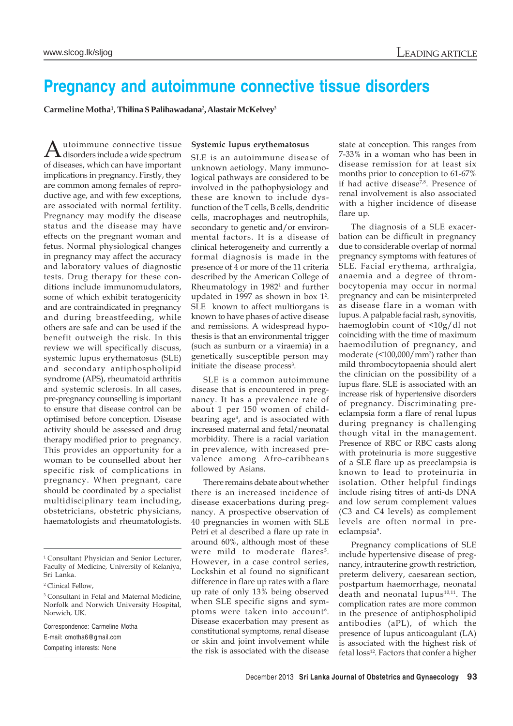# **Pregnancy and autoimmune connective tissue disorders**

**Carmeline Motha**¹, **Thilina S Palihawadana**<sup>2</sup> **, Alastair McKelvey**<sup>3</sup>

Autoimmune connective tissue disorders include a wide spectrum of diseases, which can have important implications in pregnancy. Firstly, they are common among females of reproductive age, and with few exceptions, are associated with normal fertility. Pregnancy may modify the disease status and the disease may have effects on the pregnant woman and fetus. Normal physiological changes in pregnancy may affect the accuracy and laboratory values of diagnostic tests. Drug therapy for these conditions include immunomudulators, some of which exhibit teratogenicity and are contraindicated in pregnancy and during breastfeeding, while others are safe and can be used if the benefit outweigh the risk. In this review we will specifically discuss, systemic lupus erythematosus (SLE) and secondary antiphospholipid syndrome (APS), rheumatoid arthritis and systemic sclerosis. In all cases, pre-pregnancy counselling is important to ensure that disease control can be optimised before conception. Disease activity should be assessed and drug therapy modified prior to pregnancy. This provides an opportunity for a woman to be counselled about her specific risk of complications in pregnancy. When pregnant, care should be coordinated by a specialist multidisciplinary team including, obstetricians, obstetric physicians, haematologists and rheumatologists.

Correspondence: Carmeline Motha

E-mail: cmotha6@gmail.com

Competing interests: None

#### **Systemic lupus erythematosus**

SLE is an autoimmune disease of unknown aetiology. Many immunological pathways are considered to be involved in the pathophysiology and these are known to include dysfunction of the T cells, B cells, dendritic cells, macrophages and neutrophils, secondary to genetic and/or environmental factors. It is a disease of clinical heterogeneity and currently a formal diagnosis is made in the presence of 4 or more of the 11 criteria described by the American College of Rheumatology in 1982<sup>1</sup> and further updated in 1997 as shown in box 12 . SLE known to affect multiorgans is known to have phases of active disease and remissions. A widespread hypothesis is that an environmental trigger (such as sunburn or a viraemia) in a genetically susceptible person may initiate the disease process<sup>3</sup>.

SLE is a common autoimmune disease that is encountered in pregnancy. It has a prevalence rate of about 1 per 150 women of childbearing age<sup>4</sup>, and is associated with increased maternal and fetal/neonatal morbidity. There is a racial variation in prevalence, with increased prevalence among Afro-caribbeans followed by Asians.

There remains debate about whether there is an increased incidence of disease exacerbations during pregnancy. A prospective observation of 40 pregnancies in women with SLE Petri et al described a flare up rate in around 60%, although most of these were mild to moderate flares<sup>5</sup>. However, in a case control series, Lockshin et al found no significant difference in flare up rates with a flare up rate of only 13% being observed when SLE specific signs and symptoms were taken into account<sup>6</sup>. Disease exacerbation may present as constitutional symptoms, renal disease or skin and joint involvement while the risk is associated with the disease

state at conception. This ranges from 7-33% in a woman who has been in disease remission for at least six months prior to conception to 61-67% if had active disease<sup>7,8</sup>. Presence of renal involvement is also associated with a higher incidence of disease flare up.

The diagnosis of a SLE exacerbation can be difficult in pregnancy due to considerable overlap of normal pregnancy symptoms with features of SLE. Facial erythema, arthralgia, anaemia and a degree of thrombocytopenia may occur in normal pregnancy and can be misinterpreted as disease flare in a woman with lupus. A palpable facial rash, synovitis, haemoglobin count of <10g/dl not coinciding with the time of maximum haemodilution of pregnancy, and moderate (<100,000/mm3 ) rather than mild thrombocytopaenia should alert the clinician on the possibility of a lupus flare. SLE is associated with an increase risk of hypertensive disorders of pregnancy. Discriminating preeclampsia form a flare of renal lupus during pregnancy is challenging though vital in the management. Presence of RBC or RBC casts along with proteinuria is more suggestive of a SLE flare up as preeclampsia is known to lead to proteinuria in isolation. Other helpful findings include rising titres of anti-ds DNA and low serum complement values (C3 and C4 levels) as complement levels are often normal in preeclampsia<sup>9</sup>.

Pregnancy complications of SLE include hypertensive disease of pregnancy, intrauterine growth restriction, preterm delivery, caesarean section, postpartum haemorrhage, neonatal death and neonatal lupus $10,11$ . The complication rates are more common in the presence of antiphospholipid antibodies (aPL), of which the presence of lupus anticoagulant (LA) is associated with the highest risk of fetal loss<sup>12</sup>. Factors that confer a higher

<sup>&</sup>lt;sup>1</sup> Consultant Physician and Senior Lecturer, Faculty of Medicine, University of Kelaniya, Sri Lanka.

<sup>2</sup> Clinical Fellow,

<sup>&</sup>lt;sup>3</sup> Consultant in Fetal and Maternal Medicine, Norfolk and Norwich University Hospital, Norwich, UK.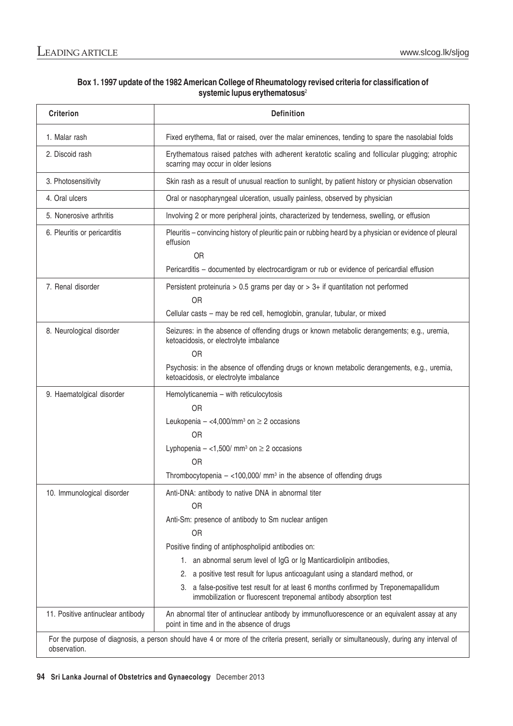# **Box 1. 1997 update of the 1982 American College of Rheumatology revised criteria for classification of systemic lupus erythematosus**<sup>2</sup>

| <b>Criterion</b>                                                                                                                                         | <b>Definition</b>                                                                                                                                                                                                                                                                                                                                                                                                                                                                                         |
|----------------------------------------------------------------------------------------------------------------------------------------------------------|-----------------------------------------------------------------------------------------------------------------------------------------------------------------------------------------------------------------------------------------------------------------------------------------------------------------------------------------------------------------------------------------------------------------------------------------------------------------------------------------------------------|
| 1. Malar rash                                                                                                                                            | Fixed erythema, flat or raised, over the malar eminences, tending to spare the nasolabial folds                                                                                                                                                                                                                                                                                                                                                                                                           |
| 2. Discoid rash                                                                                                                                          | Erythematous raised patches with adherent keratotic scaling and follicular plugging; atrophic<br>scarring may occur in older lesions                                                                                                                                                                                                                                                                                                                                                                      |
| 3. Photosensitivity                                                                                                                                      | Skin rash as a result of unusual reaction to sunlight, by patient history or physician observation                                                                                                                                                                                                                                                                                                                                                                                                        |
| 4. Oral ulcers                                                                                                                                           | Oral or nasopharyngeal ulceration, usually painless, observed by physician                                                                                                                                                                                                                                                                                                                                                                                                                                |
| 5. Nonerosive arthritis                                                                                                                                  | Involving 2 or more peripheral joints, characterized by tenderness, swelling, or effusion                                                                                                                                                                                                                                                                                                                                                                                                                 |
| 6. Pleuritis or pericarditis                                                                                                                             | Pleuritis - convincing history of pleuritic pain or rubbing heard by a physician or evidence of pleural<br>effusion<br>OR<br>Pericarditis - documented by electrocardigram or rub or evidence of pericardial effusion                                                                                                                                                                                                                                                                                     |
| 7. Renal disorder                                                                                                                                        | Persistent proteinuria > 0.5 grams per day or > $3+$ if quantitation not performed<br><b>OR</b><br>Cellular casts - may be red cell, hemoglobin, granular, tubular, or mixed                                                                                                                                                                                                                                                                                                                              |
| 8. Neurological disorder                                                                                                                                 | Seizures: in the absence of offending drugs or known metabolic derangements; e.g., uremia,<br>ketoacidosis, or electrolyte imbalance<br><b>OR</b><br>Psychosis: in the absence of offending drugs or known metabolic derangements, e.g., uremia,<br>ketoacidosis, or electrolyte imbalance                                                                                                                                                                                                                |
| 9. Haematolgical disorder                                                                                                                                | Hemolyticanemia - with reticulocytosis<br><b>OR</b><br>Leukopenia $-$ <4,000/mm <sup>3</sup> on $\geq$ 2 occasions<br><b>OR</b><br>Lyphopenia $-$ <1,500/ mm <sup>3</sup> on $\geq$ 2 occasions<br><b>OR</b><br>Thrombocytopenia $-$ <100,000/ mm <sup>3</sup> in the absence of offending drugs                                                                                                                                                                                                          |
| 10. Immunological disorder                                                                                                                               | Anti-DNA: antibody to native DNA in abnormal titer<br><b>OR</b><br>Anti-Sm: presence of antibody to Sm nuclear antigen<br>OR<br>Positive finding of antiphospholipid antibodies on:<br>1. an abnormal serum level of IgG or Ig Manticardiolipin antibodies,<br>2. a positive test result for lupus anticoagulant using a standard method, or<br>3. a false-positive test result for at least 6 months confirmed by Treponemapallidum<br>immobilization or fluorescent treponemal antibody absorption test |
| 11. Positive antinuclear antibody                                                                                                                        | An abnormal titer of antinuclear antibody by immunofluorescence or an equivalent assay at any<br>point in time and in the absence of drugs                                                                                                                                                                                                                                                                                                                                                                |
| For the purpose of diagnosis, a person should have 4 or more of the criteria present, serially or simultaneously, during any interval of<br>observation. |                                                                                                                                                                                                                                                                                                                                                                                                                                                                                                           |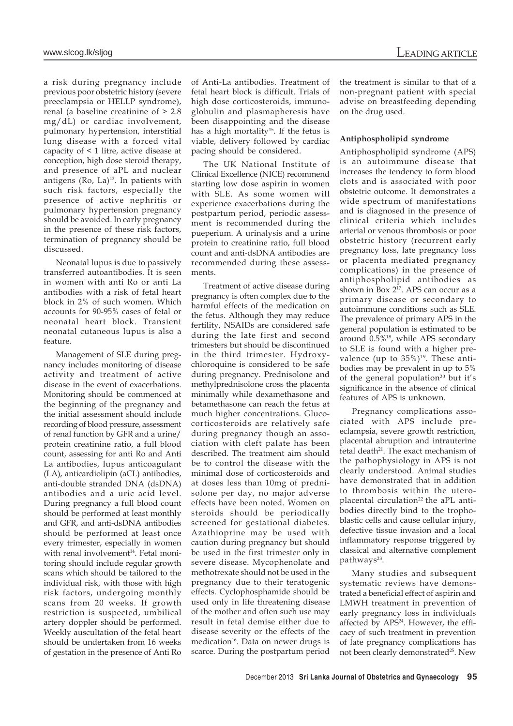a risk during pregnancy include previous poor obstetric history (severe preeclampsia or HELLP syndrome), renal (a baseline creatinine of > 2.8 mg/dL) or cardiac involvement, pulmonary hypertension, interstitial lung disease with a forced vital capacity of < 1 litre, active disease at conception, high dose steroid therapy, and presence of aPL and nuclear antigens (Ro, La) $^{13}$ . In patients with such risk factors, especially the presence of active nephritis or pulmonary hypertension pregnancy should be avoided. In early pregnancy in the presence of these risk factors, termination of pregnancy should be discussed.

Neonatal lupus is due to passively transferred autoantibodies. It is seen in women with anti Ro or anti La antibodies with a risk of fetal heart block in 2% of such women. Which accounts for 90-95% cases of fetal or neonatal heart block. Transient neonatal cutaneous lupus is also a feature.

Management of SLE during pregnancy includes monitoring of disease activity and treatment of active disease in the event of exacerbations. Monitoring should be commenced at the beginning of the pregnancy and the initial assessment should include recording of blood pressure, assessment of renal function by GFR and a urine/ protein creatinine ratio, a full blood count, assessing for anti Ro and Anti La antibodies, lupus anticoagulant (LA), anticardiolipin (aCL) antibodies, anti-double stranded DNA (dsDNA) antibodies and a uric acid level. During pregnancy a full blood count should be performed at least monthly and GFR, and anti-dsDNA antibodies should be performed at least once every trimester, especially in women with renal involvement<sup>14</sup>. Fetal monitoring should include regular growth scans which should be tailored to the individual risk, with those with high risk factors, undergoing monthly scans from 20 weeks. If growth restriction is suspected, umbilical artery doppler should be performed. Weekly auscultation of the fetal heart should be undertaken from 16 weeks of gestation in the presence of Anti Ro

of Anti-La antibodies. Treatment of fetal heart block is difficult. Trials of high dose corticosteroids, immunoglobulin and plasmapheresis have been disappointing and the disease has a high mortality<sup>15</sup>. If the fetus is viable, delivery followed by cardiac pacing should be considered.

The UK National Institute of Clinical Excellence (NICE) recommend starting low dose aspirin in women with SLE. As some women will experience exacerbations during the postpartum period, periodic assessment is recommended during the pueperium. A urinalysis and a urine protein to creatinine ratio, full blood count and anti-dsDNA antibodies are recommended during these assessments.

Treatment of active disease during pregnancy is often complex due to the harmful effects of the medication on the fetus. Although they may reduce fertility, NSAIDs are considered safe during the late first and second trimesters but should be discontinued in the third trimester. Hydroxychloroquine is considered to be safe during pregnancy. Prednisolone and methylprednisolone cross the placenta minimally while dexamethasone and betamethasone can reach the fetus at much higher concentrations. Glucocorticosteroids are relatively safe during pregnancy though an association with cleft palate has been described. The treatment aim should be to control the disease with the minimal dose of corticosteroids and at doses less than 10mg of prednisolone per day, no major adverse effects have been noted. Women on steroids should be periodically screened for gestational diabetes. Azathioprine may be used with caution during pregnancy but should be used in the first trimester only in severe disease. Mycophenolate and methotrexate should not be used in the pregnancy due to their teratogenic effects. Cyclophosphamide should be used only in life threatening disease of the mother and often such use may result in fetal demise either due to disease severity or the effects of the medication<sup>16</sup>. Data on newer drugs is scarce. During the postpartum period

the treatment is similar to that of a non-pregnant patient with special advise on breastfeeding depending on the drug used.

### **Antiphospholipid syndrome**

Antiphospholipid syndrome (APS) is an autoimmune disease that increases the tendency to form blood clots and is associated with poor obstetric outcome. It demonstrates a wide spectrum of manifestations and is diagnosed in the presence of clinical criteria which includes arterial or venous thrombosis or poor obstetric history (recurrent early pregnancy loss, late pregnancy loss or placenta mediated pregnancy complications) in the presence of antiphospholipid antibodies as shown in  $Box$   $2^{17}$ . APS can occur as a primary disease or secondary to autoimmune conditions such as SLE. The prevalence of primary APS in the general population is estimated to be around 0.5%<sup>18</sup>, while APS secondary to SLE is found with a higher prevalence (up to  $35\%$ )<sup>19</sup>. These antibodies may be prevalent in up to 5% of the general population<sup>20</sup> but it's significance in the absence of clinical features of APS is unknown.

Pregnancy complications associated with APS include preeclampsia, severe growth restriction, placental abruption and intrauterine  $f$ etal death<sup>21</sup>. The exact mechanism of the pathophysiology in APS is not clearly understood. Animal studies have demonstrated that in addition to thrombosis within the uteroplacental circulation<sup>22</sup> the aPL antibodies directly bind to the trophoblastic cells and cause cellular injury, defective tissue invasion and a local inflammatory response triggered by classical and alternative complement pathways<sup>23</sup>.

Many studies and subsequent systematic reviews have demonstrated a beneficial effect of aspirin and LMWH treatment in prevention of early pregnancy loss in individuals affected by APS<sup>24</sup>. However, the efficacy of such treatment in prevention of late pregnancy complications has not been clearly demonstrated<sup>25</sup>. New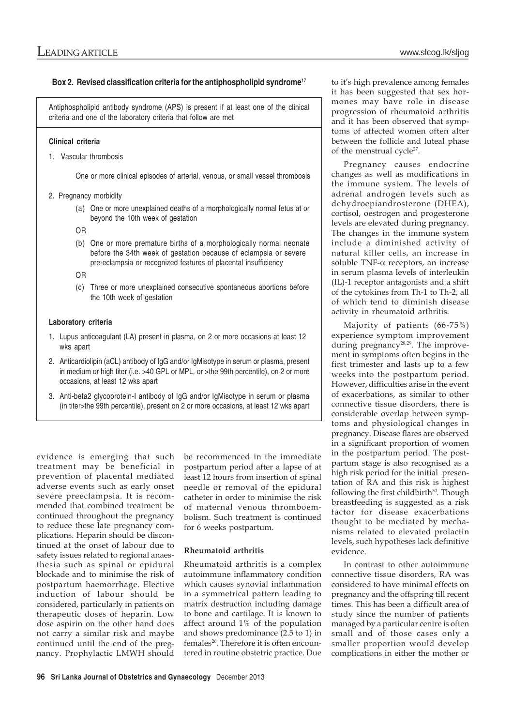# **Box 2. Revised classification criteria for the antiphospholipid syndrome**<sup>17</sup>

Antiphospholipid antibody syndrome (APS) is present if at least one of the clinical criteria and one of the laboratory criteria that follow are met

## **Clinical criteria**

1. Vascular thrombosis

One or more clinical episodes of arterial, venous, or small vessel thrombosis

- 2. Pregnancy morbidity
	- (a) One or more unexplained deaths of a morphologically normal fetus at or beyond the 10th week of gestation
	- OR
	- (b) One or more premature births of a morphologically normal neonate before the 34th week of gestation because of eclampsia or severe pre-eclampsia or recognized features of placental insufficiency
	- OR
	- (c) Three or more unexplained consecutive spontaneous abortions before the 10th week of gestation

## **Laboratory criteria**

- 1. Lupus anticoagulant (LA) present in plasma, on 2 or more occasions at least 12 wks apart
- 2. Anticardiolipin (aCL) antibody of IgG and/or IgMisotype in serum or plasma, present in medium or high titer (i.e. >40 GPL or MPL, or >the 99th percentile), on 2 or more occasions, at least 12 wks apart
- 3. Anti-beta2 glycoprotein-I antibody of IgG and/or IgMisotype in serum or plasma (in titer>the 99th percentile), present on 2 or more occasions, at least 12 wks apart

evidence is emerging that such treatment may be beneficial in prevention of placental mediated adverse events such as early onset severe preeclampsia. It is recommended that combined treatment be continued throughout the pregnancy to reduce these late pregnancy complications. Heparin should be discontinued at the onset of labour due to safety issues related to regional anaesthesia such as spinal or epidural blockade and to minimise the risk of postpartum haemorrhage. Elective induction of labour should be considered, particularly in patients on therapeutic doses of heparin. Low dose aspirin on the other hand does not carry a similar risk and maybe continued until the end of the pregnancy. Prophylactic LMWH should

be recommenced in the immediate postpartum period after a lapse of at least 12 hours from insertion of spinal needle or removal of the epidural catheter in order to minimise the risk of maternal venous thromboembolism. Such treatment is continued for 6 weeks postpartum.

## **Rheumatoid arthritis**

Rheumatoid arthritis is a complex autoimmune inflammatory condition which causes synovial inflammation in a symmetrical pattern leading to matrix destruction including damage to bone and cartilage. It is known to affect around 1% of the population and shows predominance (2.5 to 1) in females<sup>26</sup>. Therefore it is often encountered in routine obstetric practice. Due

to it's high prevalence among females it has been suggested that sex hormones may have role in disease progression of rheumatoid arthritis and it has been observed that symptoms of affected women often alter between the follicle and luteal phase of the menstrual cycle<sup>27</sup>.

Pregnancy causes endocrine changes as well as modifications in the immune system. The levels of adrenal androgen levels such as dehydroepiandrosterone (DHEA), cortisol, oestrogen and progesterone levels are elevated during pregnancy. The changes in the immune system include a diminished activity of natural killer cells, an increase in soluble TNF-α receptors, an increase in serum plasma levels of interleukin (IL)-1 receptor antagonists and a shift of the cytokines from Th-1 to Th-2, all of which tend to diminish disease activity in rheumatoid arthritis.

Majority of patients (66-75%) experience symptom improvement during pregnancy<sup>28,29</sup>. The improvement in symptoms often begins in the first trimester and lasts up to a few weeks into the postpartum period. However, difficulties arise in the event of exacerbations, as similar to other connective tissue disorders, there is considerable overlap between symptoms and physiological changes in pregnancy. Disease flares are observed in a significant proportion of women in the postpartum period. The postpartum stage is also recognised as a high risk period for the initial presentation of RA and this risk is highest following the first childbirth<sup>30</sup>. Though breastfeeding is suggested as a risk factor for disease exacerbations thought to be mediated by mechanisms related to elevated prolactin levels, such hypotheses lack definitive evidence.

In contrast to other autoimmune connective tissue disorders, RA was considered to have minimal effects on pregnancy and the offspring till recent times. This has been a difficult area of study since the number of patients managed by a particular centre is often small and of those cases only a smaller proportion would develop complications in either the mother or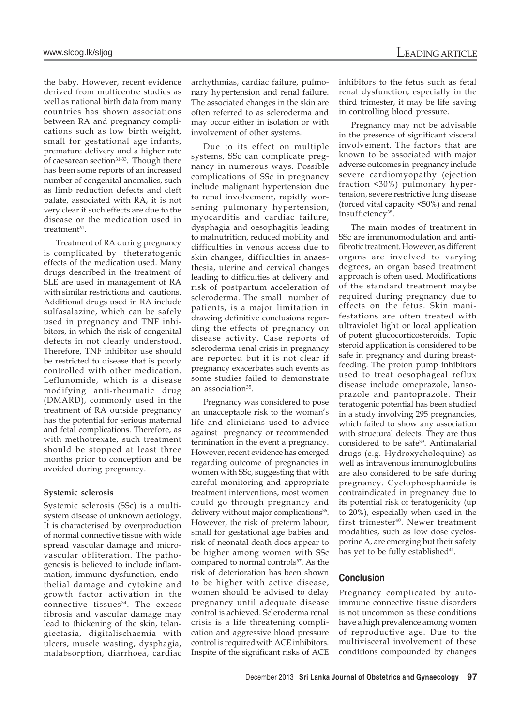the baby. However, recent evidence derived from multicentre studies as well as national birth data from many countries has shown associations between RA and pregnancy complications such as low birth weight, small for gestational age infants, premature delivery and a higher rate of caesarean section<sup>31-33</sup>. Though there has been some reports of an increased number of congenital anomalies, such as limb reduction defects and cleft palate, associated with RA, it is not very clear if such effects are due to the disease or the medication used in treatment<sup>31</sup>.

Treatment of RA during pregnancy is complicated by theteratogenic effects of the medication used. Many drugs described in the treatment of SLE are used in management of RA with similar restrictions and cautions. Additional drugs used in RA include sulfasalazine, which can be safely used in pregnancy and TNF inhibitors, in which the risk of congenital defects in not clearly understood. Therefore, TNF inhibitor use should be restricted to disease that is poorly controlled with other medication. Leflunomide, which is a disease modifying anti-rheumatic drug (DMARD), commonly used in the treatment of RA outside pregnancy has the potential for serious maternal and fetal complications. Therefore, as with methotrexate, such treatment should be stopped at least three months prior to conception and be avoided during pregnancy.

#### **Systemic sclerosis**

Systemic sclerosis (SSc) is a multisystem disease of unknown aetiology. It is characterised by overproduction of normal connective tissue with wide spread vascular damage and microvascular obliteration. The pathogenesis is believed to include inflammation, immune dysfunction, endothelial damage and cytokine and growth factor activation in the connective tissues $34$ . The excess fibrosis and vascular damage may lead to thickening of the skin, telangiectasia, digitalischaemia with ulcers, muscle wasting, dysphagia, malabsorption, diarrhoea, cardiac

arrhythmias, cardiac failure, pulmonary hypertension and renal failure. The associated changes in the skin are often referred to as scleroderma and may occur either in isolation or with involvement of other systems.

Due to its effect on multiple systems, SSc can complicate pregnancy in numerous ways. Possible complications of SSc in pregnancy include malignant hypertension due to renal involvement, rapidly worsening pulmonary hypertension, myocarditis and cardiac failure, dysphagia and oesophagitis leading to malnutrition, reduced mobility and difficulties in venous access due to skin changes, difficulties in anaesthesia, uterine and cervical changes leading to difficulties at delivery and risk of postpartum acceleration of scleroderma. The small number of patients, is a major limitation in drawing definitive conclusions regarding the effects of pregnancy on disease activity. Case reports of scleroderma renal crisis in pregnancy are reported but it is not clear if pregnancy exacerbates such events as some studies failed to demonstrate an association<sup>35</sup>.

Pregnancy was considered to pose an unacceptable risk to the woman's life and clinicians used to advice against pregnancy or recommended termination in the event a pregnancy. However, recent evidence has emerged regarding outcome of pregnancies in women with SSc, suggesting that with careful monitoring and appropriate treatment interventions, most women could go through pregnancy and delivery without major complications<sup>36</sup>. However, the risk of preterm labour, small for gestational age babies and risk of neonatal death does appear to be higher among women with SSc compared to normal controls<sup>37</sup>. As the risk of deterioration has been shown to be higher with active disease, women should be advised to delay pregnancy until adequate disease control is achieved. Scleroderma renal crisis is a life threatening complication and aggressive blood pressure control is required with ACE inhibitors. Inspite of the significant risks of ACE inhibitors to the fetus such as fetal renal dysfunction, especially in the third trimester, it may be life saving in controlling blood pressure.

Pregnancy may not be advisable in the presence of significant visceral involvement. The factors that are known to be associated with major adverse outcomes in pregnancy include severe cardiomyopathy (ejection fraction <30%) pulmonary hypertension, severe restrictive lung disease (forced vital capacity <50%) and renal insufficiency<sup>38</sup>.

The main modes of treatment in SSc are immunomodulation and antifibrotic treatment. However, as different organs are involved to varying degrees, an organ based treatment approach is often used. Modifications of the standard treatment maybe required during pregnancy due to effects on the fetus. Skin manifestations are often treated with ultraviolet light or local application of potent glucocorticosteroids. Topic steroid application is considered to be safe in pregnancy and during breastfeeding. The proton pump inhibitors used to treat oesophageal reflux disease include omeprazole, lansoprazole and pantoprazole. Their teratogenic potential has been studied in a study involving 295 pregnancies, which failed to show any association with structural defects. They are thus considered to be safe<sup>39</sup>. Antimalarial drugs (e.g. Hydroxycholoquine) as well as intravenous immunoglobulins are also considered to be safe during pregnancy. Cyclophosphamide is contraindicated in pregnancy due to its potential risk of teratogenicity (up to 20%), especially when used in the first trimester<sup>40</sup>. Newer treatment modalities, such as low dose cyclosporine A, are emerging but their safety has yet to be fully established<sup>41</sup>.

#### **Conclusion**

Pregnancy complicated by autoimmune connective tissue disorders is not uncommon as these conditions have a high prevalence among women of reproductive age. Due to the multivisceral involvement of these conditions compounded by changes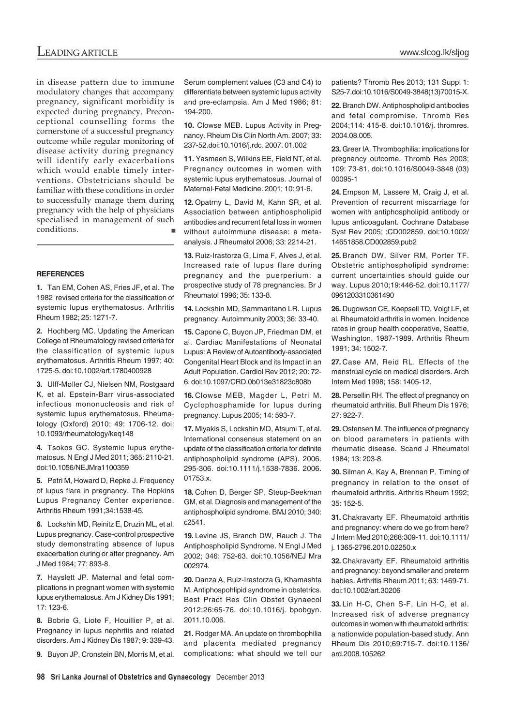in disease pattern due to immune modulatory changes that accompany pregnancy, significant morbidity is expected during pregnancy. Preconceptional counselling forms the cornerstone of a successful pregnancy outcome while regular monitoring of disease activity during pregnancy will identify early exacerbations which would enable timely interventions. Obstetricians should be familiar with these conditions in order to successfully manage them during pregnancy with the help of physicians specialised in management of such conditions.  $\blacksquare$ 

#### **REFERENCES**

**1.** Tan EM, Cohen AS, Fries JF, et al. The 1982 revised criteria for the classification of systemic lupus erythematosus. Arthritis Rheum 1982; 25: 1271-7.

**2.** Hochberg MC. Updating the American College of Rheumatology revised criteria for the classification of systemic lupus erythematosus. Arthritis Rheum 1997; 40: 1725-5. doi:10.1002/art.1780400928

**3.** Ulff-Møller CJ, Nielsen NM, Rostgaard K, et al. Epstein-Barr virus-associated infectious mononucleosis and risk of systemic lupus erythematosus. Rheumatology (Oxford) 2010; 49: 1706-12. doi: 10.1093/rheumatology/keq148

**4.** Tsokos GC. Systemic lupus erythematosus. N Engl J Med 2011; 365: 2110-21. doi:10.1056/NEJMra1100359

**5.** Petri M, Howard D, Repke J. Frequency of lupus flare in pregnancy. The Hopkins Lupus Pregnancy Center experience. Arthritis Rheum 1991;34:1538-45.

**6.** Lockshin MD, Reinitz E, Druzin ML, et al. Lupus pregnancy. Case-control prospective study demonstrating absence of lupus exacerbation during or after pregnancy. Am J Med 1984; 77: 893-8.

**7.** Hayslett JP. Maternal and fetal complications in pregnant women with systemic lupus erythematosus. Am J Kidney Dis 1991; 17: 123-6.

**8.** Bobrie G, Liote F, Houillier P, et al. Pregnancy in lupus nephritis and related disorders. Am J Kidney Dis 1987; 9: 339-43.

**9.** Buyon JP, Cronstein BN, Morris M, et al.

Serum complement values (C3 and C4) to differentiate between systemic lupus activity and pre-eclampsia. Am J Med 1986; 81: 194-200.

**10.** Clowse MEB. Lupus Activity in Pregnancy. Rheum Dis Clin North Am. 2007; 33: 237-52.doi:10.1016/j.rdc. 2007. 01.002

**11.** Yasmeen S, Wilkins EE, Field NT, et al. Pregnancy outcomes in women with systemic lupus erythematosus. Journal of Maternal-Fetal Medicine. 2001; 10: 91-6.

**12.** Opatrny L, David M, Kahn SR, et al. Association between antiphospholipid antibodies and recurrent fetal loss in women without autoimmune disease: a metaanalysis. J Rheumatol 2006; 33: 2214-21.

**13.** Ruiz-Irastorza G, Lima F, Alves J, et al. Increased rate of lupus flare during pregnancy and the puerperium: a prospective study of 78 pregnancies. Br J Rheumatol 1996; 35: 133-8.

**14.** Lockshin MD, Sammaritano LR. Lupus pregnancy. Autoimmunity 2003; 36: 33-40.

**15.** Capone C, Buyon JP, Friedman DM, et al. Cardiac Manifestations of Neonatal Lupus: A Review of Autoantibody-associated Congenital Heart Block and its Impact in an Adult Population. Cardiol Rev 2012; 20: 72- 6. doi:10.1097/CRD.0b013e31823c808b

**16.** Clowse MEB, Magder L, Petri M. Cyclophosphamide for lupus during pregnancy. Lupus 2005; 14: 593-7.

**17.** Miyakis S, Lockshin MD, Atsumi T, et al. International consensus statement on an update of the classification criteria for definite antiphospholipid syndrome (APS). 2006. 295-306. doi:10.1111/j.1538-7836. 2006. 01753.x.

**18.** Cohen D, Berger SP, Steup-Beekman GM, et al. Diagnosis and management of the antiphospholipid syndrome. BMJ 2010; 340: c2541.

**19.** Levine JS, Branch DW, Rauch J. The Antiphospholipid Syndrome. N Engl J Med 2002; 346: 752-63. doi:10.1056/NEJ Mra 002974.

**20.** Danza A, Ruiz-Irastorza G, Khamashta M. Antiphospohlipid syndrome in obstetrics. Best Pract Res Clin Obstet Gynaecol 2012;26:65-76. doi:10.1016/j. bpobgyn. 2011.10.006.

**21.** Rodger MA. An update on thrombophilia and placenta mediated pregnancy complications: what should we tell our patients? Thromb Res 2013; 131 Suppl 1: S25-7.doi:10.1016/S0049-3848(13)70015-X.

**22.** Branch DW. Antiphospholipid antibodies and fetal compromise. Thromb Res 2004;114: 415-8. doi:10.1016/j. thromres. 2004.08.005.

**23.** Greer IA. Thrombophilia: implications for pregnancy outcome. Thromb Res 2003; 109: 73-81. doi:10.1016/S0049-3848 (03) 00095-1

**24.** Empson M, Lassere M, Craig J, et al. Prevention of recurrent miscarriage for women with antiphospholipid antibody or lupus anticoagulant. Cochrane Database Syst Rev 2005; :CD002859. doi:10.1002/ 14651858.CD002859.pub2

**25.** Branch DW, Silver RM, Porter TF. Obstetric antiphospholipid syndrome: current uncertainties should guide our way. Lupus 2010;19:446-52. doi:10.1177/ 0961203310361490

**26.** Dugowson CE, Koepsell TD, Voigt LF, et al. Rheumatoid arthritis in women. Incidence rates in group health cooperative, Seattle, Washington, 1987-1989. Arthritis Rheum 1991; 34: 1502-7.

**27.** Case AM, Reid RL. Effects of the menstrual cycle on medical disorders. Arch Intern Med 1998; 158: 1405-12.

**28.** Persellin RH. The effect of pregnancy on rheumatoid arthritis. Bull Rheum Dis 1976; 27: 922-7.

**29.** Ostensen M. The influence of pregnancy on blood parameters in patients with rheumatic disease. Scand J Rheumatol 1984; 13: 203-8.

**30.** Silman A, Kay A, Brennan P. Timing of pregnancy in relation to the onset of rheumatoid arthritis. Arthritis Rheum 1992; 35: 152-5.

**31.** Chakravarty EF. Rheumatoid arthritis and pregnancy: where do we go from here? J Intern Med 2010;268:309-11. doi:10.1111/ j. 1365-2796.2010.02250.x

**32.** Chakravarty EF. Rheumatoid arthritis and pregnancy: beyond smaller and preterm babies. Arthritis Rheum 2011; 63: 1469-71. doi:10.1002/art.30206

**33.** Lin H-C, Chen S-F, Lin H-C, et al. Increased risk of adverse pregnancy outcomes in women with rheumatoid arthritis: a nationwide population-based study. Ann Rheum Dis 2010;69:715-7. doi:10.1136/ ard.2008.105262